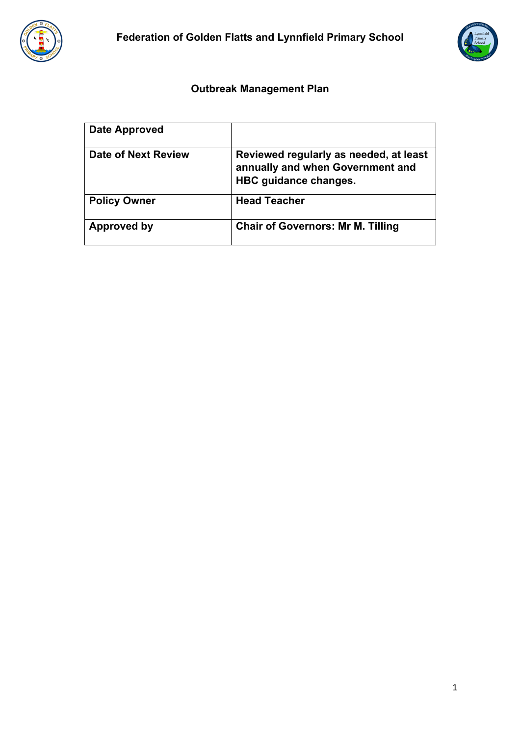



# **Outbreak Management Plan**

| Date Approved       |                                                                                                     |
|---------------------|-----------------------------------------------------------------------------------------------------|
| Date of Next Review | Reviewed regularly as needed, at least<br>annually and when Government and<br>HBC guidance changes. |
| <b>Policy Owner</b> | <b>Head Teacher</b>                                                                                 |
| Approved by         | <b>Chair of Governors: Mr M. Tilling</b>                                                            |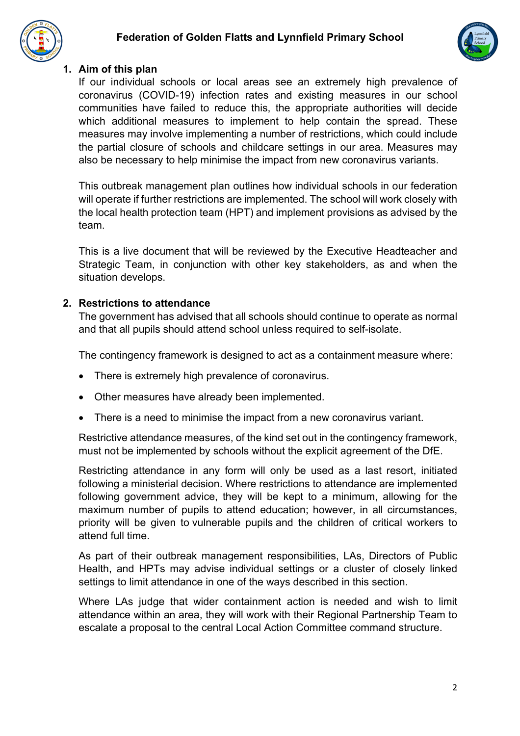### **Federation of Golden Flatts and Lynnfield Primary School**





#### **1. Aim of this plan**

If our individual schools or local areas see an extremely high prevalence of coronavirus (COVID-19) infection rates and existing measures in our school communities have failed to reduce this, the appropriate authorities will decide which additional measures to implement to help contain the spread. These measures may involve implementing a number of restrictions, which could include the partial closure of schools and childcare settings in our area. Measures may also be necessary to help minimise the impact from new coronavirus variants.

This outbreak management plan outlines how individual schools in our federation will operate if further restrictions are implemented. The school will work closely with the local health protection team (HPT) and implement provisions as advised by the team.

This is a live document that will be reviewed by the Executive Headteacher and Strategic Team, in conjunction with other key stakeholders, as and when the situation develops.

#### **2. Restrictions to attendance**

The government has advised that all schools should continue to operate as normal and that all pupils should attend school unless required to self-isolate.

The contingency framework is designed to act as a containment measure where:

- There is extremely high prevalence of coronavirus.
- Other measures have already been implemented.
- There is a need to minimise the impact from a new coronavirus variant.

Restrictive attendance measures, of the kind set out in the contingency framework, must not be implemented by schools without the explicit agreement of the DfE.

Restricting attendance in any form will only be used as a last resort, initiated following a ministerial decision. Where restrictions to attendance are implemented following government advice, they will be kept to a minimum, allowing for the maximum number of pupils to attend education; however, in all circumstances, priority will be given to vulnerable pupils and the children of critical workers to attend full time.

As part of their outbreak management responsibilities, LAs, Directors of Public Health, and HPTs may advise individual settings or a cluster of closely linked settings to limit attendance in one of the ways described in this section.

Where LAs judge that wider containment action is needed and wish to limit attendance within an area, they will work with their Regional Partnership Team to escalate a proposal to the central Local Action Committee command structure.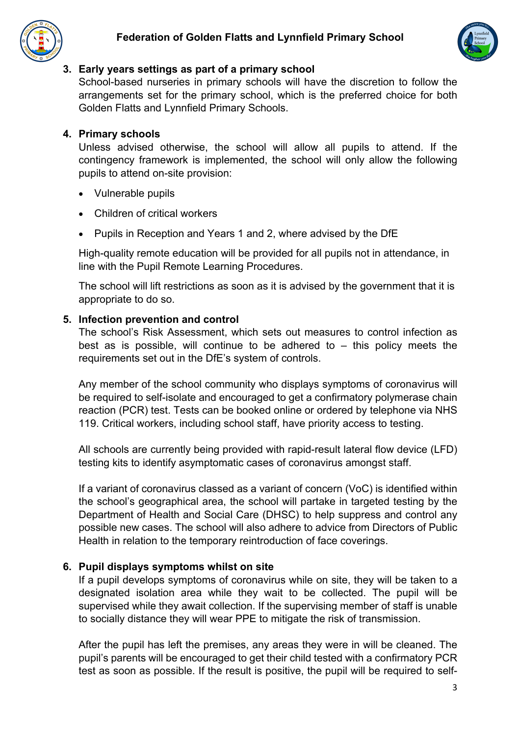



### **3. Early years settings as part of a primary school**

School-based nurseries in primary schools will have the discretion to follow the arrangements set for the primary school, which is the preferred choice for both Golden Flatts and Lynnfield Primary Schools.

### **4. Primary schools**

Unless advised otherwise, the school will allow all pupils to attend. If the contingency framework is implemented, the school will only allow the following pupils to attend on-site provision:

- Vulnerable pupils
- Children of critical workers
- Pupils in Reception and Years 1 and 2, where advised by the DfE

High-quality remote education will be provided for all pupils not in attendance, in line with the Pupil Remote Learning Procedures.

The school will lift restrictions as soon as it is advised by the government that it is appropriate to do so.

### **5. Infection prevention and control**

The school's Risk Assessment, which sets out measures to control infection as best as is possible, will continue to be adhered to  $-$  this policy meets the requirements set out in the DfE's system of controls.

Any member of the school community who displays symptoms of coronavirus will be required to self-isolate and encouraged to get a confirmatory polymerase chain reaction (PCR) test. Tests can be booked online or ordered by telephone via NHS 119. Critical workers, including school staff, have priority access to testing.

All schools are currently being provided with rapid-result lateral flow device (LFD) testing kits to identify asymptomatic cases of coronavirus amongst staff.

If a variant of coronavirus classed as a variant of concern (VoC) is identified within the school's geographical area, the school will partake in targeted testing by the Department of Health and Social Care (DHSC) to help suppress and control any possible new cases. The school will also adhere to advice from Directors of Public Health in relation to the temporary reintroduction of face coverings.

### **6. Pupil displays symptoms whilst on site**

If a pupil develops symptoms of coronavirus while on site, they will be taken to a designated isolation area while they wait to be collected. The pupil will be supervised while they await collection. If the supervising member of staff is unable to socially distance they will wear PPE to mitigate the risk of transmission.

After the pupil has left the premises, any areas they were in will be cleaned. The pupil's parents will be encouraged to get their child tested with a confirmatory PCR test as soon as possible. If the result is positive, the pupil will be required to self-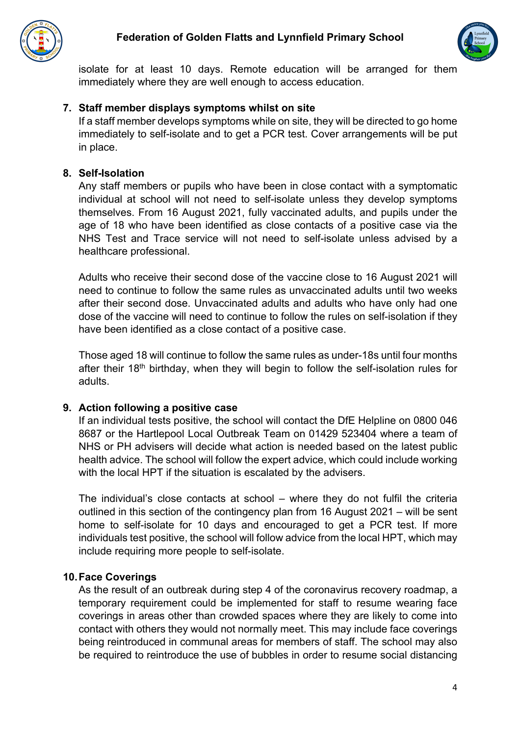



isolate for at least 10 days. Remote education will be arranged for them immediately where they are well enough to access education.

#### **7. Staff member displays symptoms whilst on site**

If a staff member develops symptoms while on site, they will be directed to go home immediately to self-isolate and to get a PCR test. Cover arrangements will be put in place.

### **8. Self-Isolation**

Any staff members or pupils who have been in close contact with a symptomatic individual at school will not need to self-isolate unless they develop symptoms themselves. From 16 August 2021, fully vaccinated adults, and pupils under the age of 18 who have been identified as close contacts of a positive case via the NHS Test and Trace service will not need to self-isolate unless advised by a healthcare professional.

Adults who receive their second dose of the vaccine close to 16 August 2021 will need to continue to follow the same rules as unvaccinated adults until two weeks after their second dose. Unvaccinated adults and adults who have only had one dose of the vaccine will need to continue to follow the rules on self-isolation if they have been identified as a close contact of a positive case.

Those aged 18 will continue to follow the same rules as under-18s until four months after their 18<sup>th</sup> birthday, when they will begin to follow the self-isolation rules for adults.

#### **9. Action following a positive case**

If an individual tests positive, the school will contact the DfE Helpline on 0800 046 8687 or the Hartlepool Local Outbreak Team on 01429 523404 where a team of NHS or PH advisers will decide what action is needed based on the latest public health advice. The school will follow the expert advice, which could include working with the local HPT if the situation is escalated by the advisers.

The individual's close contacts at school – where they do not fulfil the criteria outlined in this section of the contingency plan from 16 August 2021 – will be sent home to self-isolate for 10 days and encouraged to get a PCR test. If more individuals test positive, the school will follow advice from the local HPT, which may include requiring more people to self-isolate.

### **10.Face Coverings**

As the result of an outbreak during step 4 of the coronavirus recovery roadmap, a temporary requirement could be implemented for staff to resume wearing face coverings in areas other than crowded spaces where they are likely to come into contact with others they would not normally meet. This may include face coverings being reintroduced in communal areas for members of staff. The school may also be required to reintroduce the use of bubbles in order to resume social distancing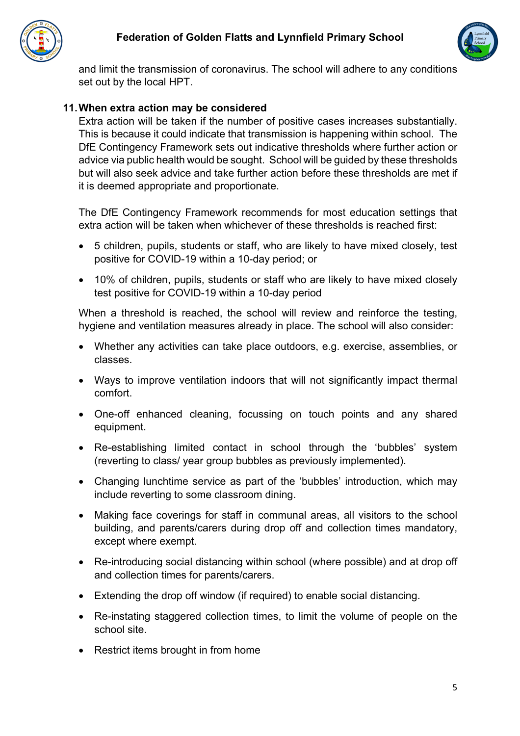



and limit the transmission of coronavirus. The school will adhere to any conditions set out by the local HPT.

### **11.When extra action may be considered**

Extra action will be taken if the number of positive cases increases substantially. This is because it could indicate that transmission is happening within school. The DfE Contingency Framework sets out indicative thresholds where further action or advice via public health would be sought. School will be guided by these thresholds but will also seek advice and take further action before these thresholds are met if it is deemed appropriate and proportionate.

The DfE Contingency Framework recommends for most education settings that extra action will be taken when whichever of these thresholds is reached first:

- 5 children, pupils, students or staff, who are likely to have mixed closely, test positive for COVID-19 within a 10-day period; or
- 10% of children, pupils, students or staff who are likely to have mixed closely test positive for COVID-19 within a 10-day period

When a threshold is reached, the school will review and reinforce the testing, hygiene and ventilation measures already in place. The school will also consider:

- Whether any activities can take place outdoors, e.g. exercise, assemblies, or classes.
- Ways to improve ventilation indoors that will not significantly impact thermal comfort.
- One-off enhanced cleaning, focussing on touch points and any shared equipment.
- Re-establishing limited contact in school through the 'bubbles' system (reverting to class/ year group bubbles as previously implemented).
- Changing lunchtime service as part of the 'bubbles' introduction, which may include reverting to some classroom dining.
- Making face coverings for staff in communal areas, all visitors to the school building, and parents/carers during drop off and collection times mandatory, except where exempt.
- Re-introducing social distancing within school (where possible) and at drop off and collection times for parents/carers.
- Extending the drop off window (if required) to enable social distancing.
- Re-instating staggered collection times, to limit the volume of people on the school site.
- Restrict items brought in from home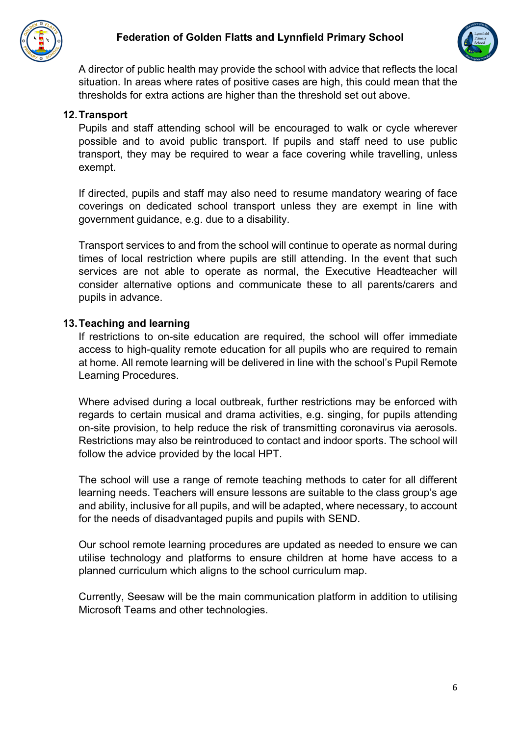



A director of public health may provide the school with advice that reflects the local situation. In areas where rates of positive cases are high, this could mean that the thresholds for extra actions are higher than the threshold set out above.

#### **12.Transport**

Pupils and staff attending school will be encouraged to walk or cycle wherever possible and to avoid public transport. If pupils and staff need to use public transport, they may be required to wear a face covering while travelling, unless exempt.

If directed, pupils and staff may also need to resume mandatory wearing of face coverings on dedicated school transport unless they are exempt in line with government guidance, e.g. due to a disability.

Transport services to and from the school will continue to operate as normal during times of local restriction where pupils are still attending. In the event that such services are not able to operate as normal, the Executive Headteacher will consider alternative options and communicate these to all parents/carers and pupils in advance.

#### **13.Teaching and learning**

If restrictions to on-site education are required, the school will offer immediate access to high-quality remote education for all pupils who are required to remain at home. All remote learning will be delivered in line with the school's Pupil Remote Learning Procedures.

Where advised during a local outbreak, further restrictions may be enforced with regards to certain musical and drama activities, e.g. singing, for pupils attending on-site provision, to help reduce the risk of transmitting coronavirus via aerosols. Restrictions may also be reintroduced to contact and indoor sports. The school will follow the advice provided by the local HPT.

The school will use a range of remote teaching methods to cater for all different learning needs. Teachers will ensure lessons are suitable to the class group's age and ability, inclusive for all pupils, and will be adapted, where necessary, to account for the needs of disadvantaged pupils and pupils with SEND.

Our school remote learning procedures are updated as needed to ensure we can utilise technology and platforms to ensure children at home have access to a planned curriculum which aligns to the school curriculum map.

Currently, Seesaw will be the main communication platform in addition to utilising Microsoft Teams and other technologies.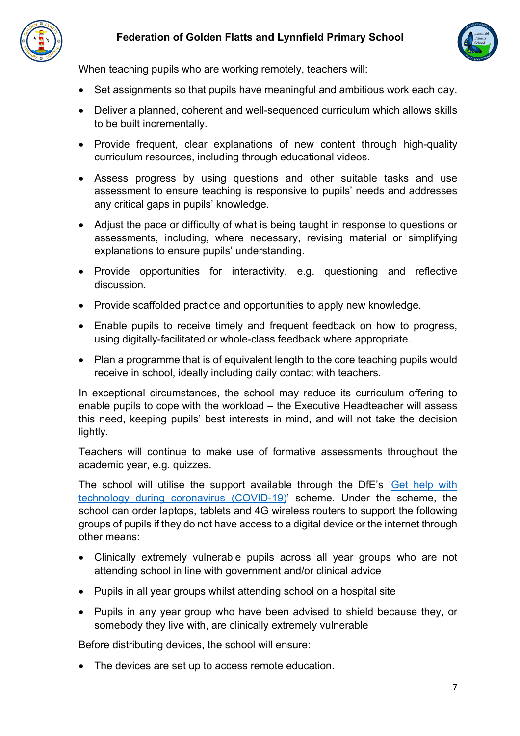



When teaching pupils who are working remotely, teachers will:

- Set assignments so that pupils have meaningful and ambitious work each day.
- Deliver a planned, coherent and well-sequenced curriculum which allows skills to be built incrementally.
- Provide frequent, clear explanations of new content through high-quality curriculum resources, including through educational videos.
- Assess progress by using questions and other suitable tasks and use assessment to ensure teaching is responsive to pupils' needs and addresses any critical gaps in pupils' knowledge.
- Adjust the pace or difficulty of what is being taught in response to questions or assessments, including, where necessary, revising material or simplifying explanations to ensure pupils' understanding.
- Provide opportunities for interactivity, e.g. questioning and reflective discussion.
- Provide scaffolded practice and opportunities to apply new knowledge.
- Enable pupils to receive timely and frequent feedback on how to progress, using digitally-facilitated or whole-class feedback where appropriate.
- Plan a programme that is of equivalent length to the core teaching pupils would receive in school, ideally including daily contact with teachers.

In exceptional circumstances, the school may reduce its curriculum offering to enable pupils to cope with the workload – the Executive Headteacher will assess this need, keeping pupils' best interests in mind, and will not take the decision lightly.

Teachers will continue to make use of formative assessments throughout the academic year, e.g. quizzes.

The school will utilise the support available through the DfE's 'Get help with technology during coronavirus (COVID-19)' scheme. Under the scheme, the school can order laptops, tablets and 4G wireless routers to support the following groups of pupils if they do not have access to a digital device or the internet through other means:

- Clinically extremely vulnerable pupils across all year groups who are not attending school in line with government and/or clinical advice
- Pupils in all year groups whilst attending school on a hospital site
- Pupils in any year group who have been advised to shield because they, or somebody they live with, are clinically extremely vulnerable

Before distributing devices, the school will ensure:

• The devices are set up to access remote education.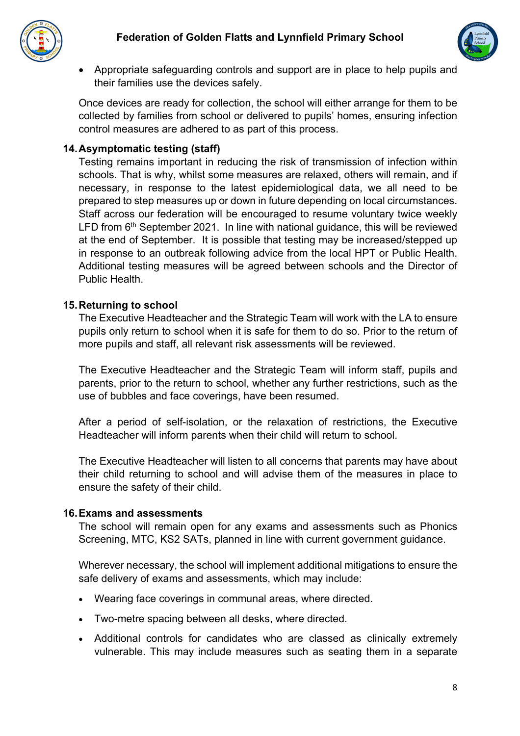



• Appropriate safeguarding controls and support are in place to help pupils and their families use the devices safely.

Once devices are ready for collection, the school will either arrange for them to be collected by families from school or delivered to pupils' homes, ensuring infection control measures are adhered to as part of this process.

#### **14.Asymptomatic testing (staff)**

Testing remains important in reducing the risk of transmission of infection within schools. That is why, whilst some measures are relaxed, others will remain, and if necessary, in response to the latest epidemiological data, we all need to be prepared to step measures up or down in future depending on local circumstances. Staff across our federation will be encouraged to resume voluntary twice weekly LFD from  $6<sup>th</sup>$  September 2021. In line with national quidance, this will be reviewed at the end of September. It is possible that testing may be increased/stepped up in response to an outbreak following advice from the local HPT or Public Health. Additional testing measures will be agreed between schools and the Director of Public Health.

### **15.Returning to school**

The Executive Headteacher and the Strategic Team will work with the LA to ensure pupils only return to school when it is safe for them to do so. Prior to the return of more pupils and staff, all relevant risk assessments will be reviewed.

The Executive Headteacher and the Strategic Team will inform staff, pupils and parents, prior to the return to school, whether any further restrictions, such as the use of bubbles and face coverings, have been resumed.

After a period of self-isolation, or the relaxation of restrictions, the Executive Headteacher will inform parents when their child will return to school.

The Executive Headteacher will listen to all concerns that parents may have about their child returning to school and will advise them of the measures in place to ensure the safety of their child.

#### **16.Exams and assessments**

The school will remain open for any exams and assessments such as Phonics Screening, MTC, KS2 SATs, planned in line with current government guidance.

Wherever necessary, the school will implement additional mitigations to ensure the safe delivery of exams and assessments, which may include:

- Wearing face coverings in communal areas, where directed.
- Two-metre spacing between all desks, where directed.
- Additional controls for candidates who are classed as clinically extremely vulnerable. This may include measures such as seating them in a separate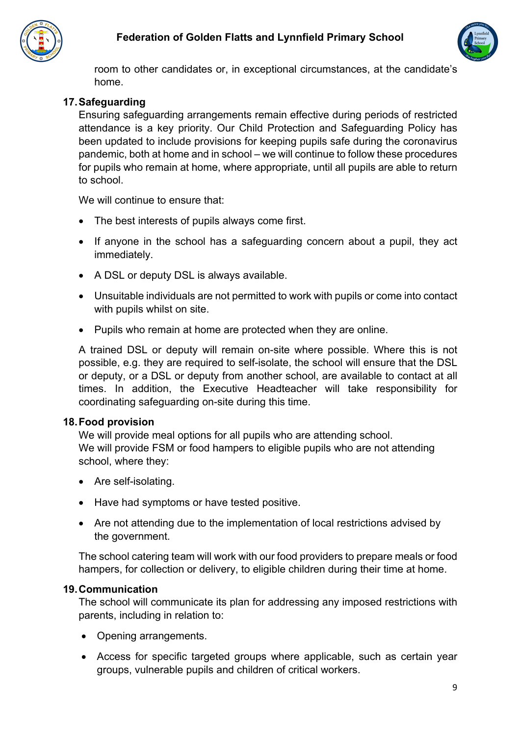



room to other candidates or, in exceptional circumstances, at the candidate's home.

## **17.Safeguarding**

Ensuring safeguarding arrangements remain effective during periods of restricted attendance is a key priority. Our Child Protection and Safeguarding Policy has been updated to include provisions for keeping pupils safe during the coronavirus pandemic, both at home and in school – we will continue to follow these procedures for pupils who remain at home, where appropriate, until all pupils are able to return to school.

We will continue to ensure that:

- The best interests of pupils always come first.
- If anyone in the school has a safeguarding concern about a pupil, they act immediately.
- A DSL or deputy DSL is always available.
- Unsuitable individuals are not permitted to work with pupils or come into contact with pupils whilst on site.
- Pupils who remain at home are protected when they are online.

A trained DSL or deputy will remain on-site where possible. Where this is not possible, e.g. they are required to self-isolate, the school will ensure that the DSL or deputy, or a DSL or deputy from another school, are available to contact at all times. In addition, the Executive Headteacher will take responsibility for coordinating safeguarding on-site during this time.

### **18.Food provision**

We will provide meal options for all pupils who are attending school. We will provide FSM or food hampers to eligible pupils who are not attending school, where they:

- Are self-isolating.
- Have had symptoms or have tested positive.
- Are not attending due to the implementation of local restrictions advised by the government.

The school catering team will work with our food providers to prepare meals or food hampers, for collection or delivery, to eligible children during their time at home.

### **19.Communication**

The school will communicate its plan for addressing any imposed restrictions with parents, including in relation to:

- Opening arrangements.
- Access for specific targeted groups where applicable, such as certain year groups, vulnerable pupils and children of critical workers.